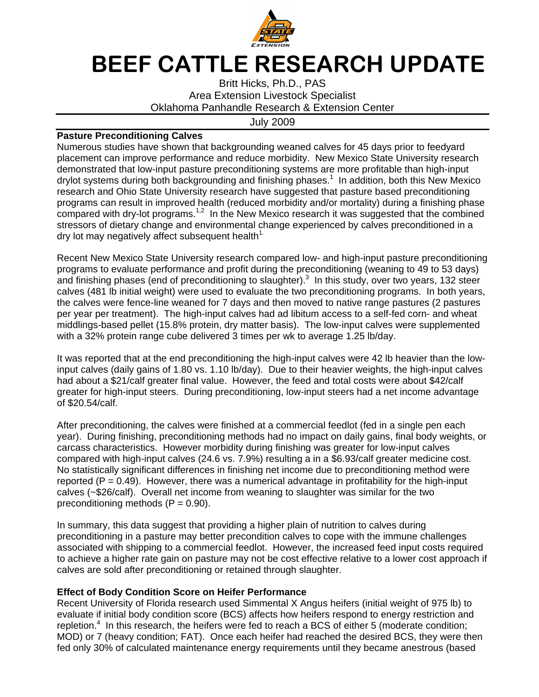

## BEEF CATTLE RESEARCH UPDATE

Britt Hicks, Ph.D., PAS Area Extension Livestock Specialist Oklahoma Panhandle Research & Extension Center

July 2009

## **Pasture Preconditioning Calves**

Numerous studies have shown that backgrounding weaned calves for 45 days prior to feedyard placement can improve performance and reduce morbidity. New Mexico State University research demonstrated that low-input pasture preconditioning systems are more profitable than high-input drylot systems during both backgrounding and finishing phases.<sup>1</sup> In addition, both this New Mexico research and Ohio State University research have suggested that pasture based preconditioning programs can result in improved health (reduced morbidity and/or mortality) during a finishing phase compared with dry-lot programs.<sup>1,2</sup> In the New Mexico research it was suggested that the combined stressors of dietary change and environmental change experienced by calves preconditioned in a dry lot may negatively affect subsequent health $1$ .

Recent New Mexico State University research compared low- and high-input pasture preconditioning programs to evaluate performance and profit during the preconditioning (weaning to 49 to 53 days) and finishing phases (end of preconditioning to slaughter). $3$  In this study, over two years, 132 steer calves (481 lb initial weight) were used to evaluate the two preconditioning programs. In both years, the calves were fence-line weaned for 7 days and then moved to native range pastures (2 pastures per year per treatment). The high-input calves had ad libitum access to a self-fed corn- and wheat middlings-based pellet (15.8% protein, dry matter basis). The low-input calves were supplemented with a 32% protein range cube delivered 3 times per wk to average 1.25 lb/day.

It was reported that at the end preconditioning the high-input calves were 42 lb heavier than the lowinput calves (daily gains of 1.80 vs. 1.10 lb/day). Due to their heavier weights, the high-input calves had about a \$21/calf greater final value. However, the feed and total costs were about \$42/calf greater for high-input steers. During preconditioning, low-input steers had a net income advantage of \$20.54/calf.

After preconditioning, the calves were finished at a commercial feedlot (fed in a single pen each year). During finishing, preconditioning methods had no impact on daily gains, final body weights, or carcass characteristics. However morbidity during finishing was greater for low-input calves compared with high-input calves (24.6 vs. 7.9%) resulting a in a \$6.93/calf greater medicine cost. No statistically significant differences in finishing net income due to preconditioning method were reported ( $P = 0.49$ ). However, there was a numerical advantage in profitability for the high-input calves (~\$26/calf). Overall net income from weaning to slaughter was similar for the two preconditioning methods  $(P = 0.90)$ .

In summary, this data suggest that providing a higher plain of nutrition to calves during preconditioning in a pasture may better precondition calves to cope with the immune challenges associated with shipping to a commercial feedlot. However, the increased feed input costs required to achieve a higher rate gain on pasture may not be cost effective relative to a lower cost approach if calves are sold after preconditioning or retained through slaughter.

## **Effect of Body Condition Score on Heifer Performance**

Recent University of Florida research used Simmental X Angus heifers (initial weight of 975 lb) to evaluate if initial body condition score (BCS) affects how heifers respond to energy restriction and repletion.<sup>4</sup> In this research, the heifers were fed to reach a BCS of either 5 (moderate condition; MOD) or 7 (heavy condition; FAT). Once each heifer had reached the desired BCS, they were then fed only 30% of calculated maintenance energy requirements until they became anestrous (based